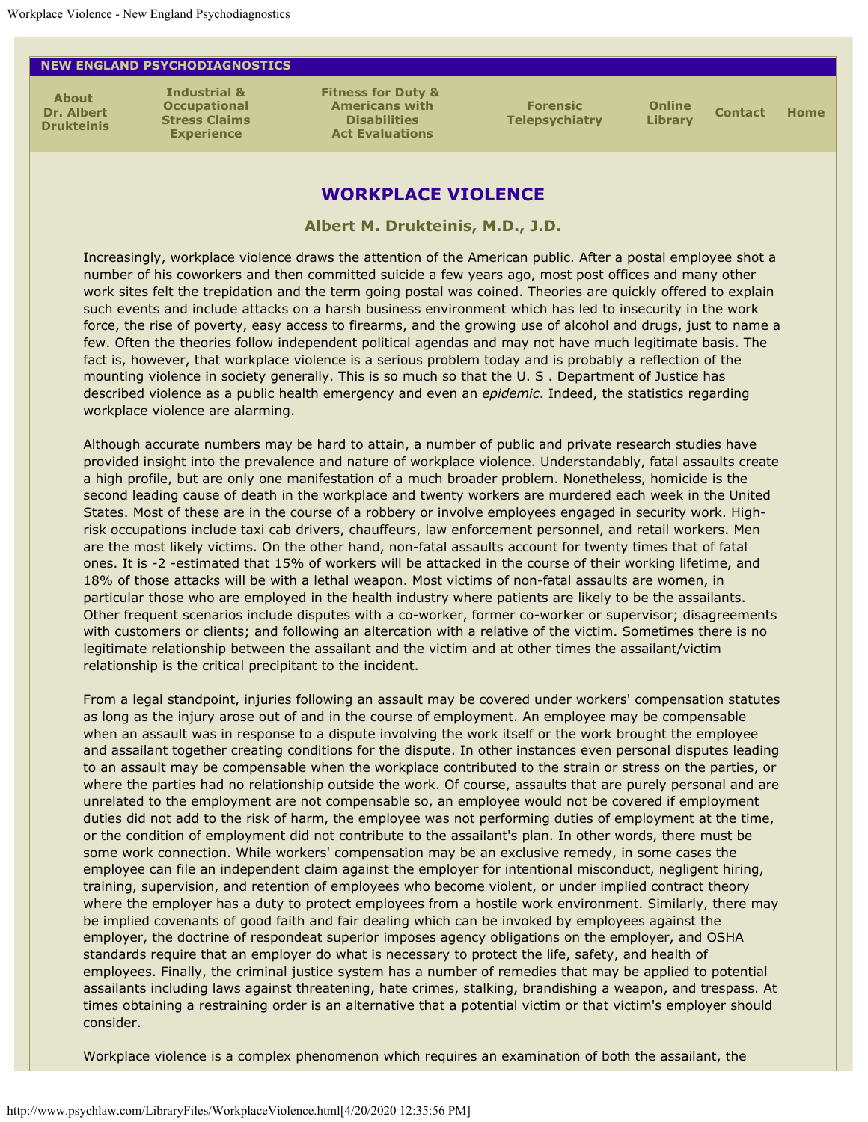## <span id="page-0-0"></span>**NEW ENGLAND PSYCHODIAGNOSTICS**

**[About](http://www.psychlaw.com/About.html)  [Dr. Albert](http://www.psychlaw.com/About.html) [Drukteinis](http://www.psychlaw.com/About.html)**

**[Industrial &](http://www.psychlaw.com/StressClaims.html) [Occupational](http://www.psychlaw.com/StressClaims.html) [Stress Claims](http://www.psychlaw.com/StressClaims.html) [Experience](http://www.psychlaw.com/StressClaims.html)**

**[Fitness for Duty &](http://www.psychlaw.com/FFD_ADA.html)  [Americans with](http://www.psychlaw.com/FFD_ADA.html) [Disabilities](http://www.psychlaw.com/FFD_ADA.html) [Act Evaluations](http://www.psychlaw.com/FFD_ADA.html)**

**[Forensic](http://www.psychlaw.com/VideoConf.html) [Telepsychiatry](http://www.psychlaw.com/VideoConf.html)** **[Online](http://www.psychlaw.com/OnlineLibrary.html)**

**[Library](http://www.psychlaw.com/OnlineLibrary.html) [Contact](http://www.psychlaw.com/Contact.html) [Home](http://www.psychlaw.com/index.html)**

## **WORKPLACE VIOLENCE**

**Albert M. Drukteinis, M.D., J.D.**

Increasingly, workplace violence draws the attention of the American public. After a postal employee shot a number of his coworkers and then committed suicide a few years ago, most post offices and many other work sites felt the trepidation and the term going postal was coined. Theories are quickly offered to explain such events and include attacks on a harsh business environment which has led to insecurity in the work force, the rise of poverty, easy access to firearms, and the growing use of alcohol and drugs, just to name a few. Often the theories follow independent political agendas and may not have much legitimate basis. The fact is, however, that workplace violence is a serious problem today and is probably a reflection of the mounting violence in society generally. This is so much so that the U. S . Department of Justice has described violence as a public health emergency and even an *epidemic*. Indeed, the statistics regarding workplace violence are alarming.

Although accurate numbers may be hard to attain, a number of public and private research studies have provided insight into the prevalence and nature of workplace violence. Understandably, fatal assaults create a high profile, but are only one manifestation of a much broader problem. Nonetheless, homicide is the second leading cause of death in the workplace and twenty workers are murdered each week in the United States. Most of these are in the course of a robbery or involve employees engaged in security work. Highrisk occupations include taxi cab drivers, chauffeurs, law enforcement personnel, and retail workers. Men are the most likely victims. On the other hand, non-fatal assaults account for twenty times that of fatal ones. It is -2 -estimated that 15% of workers will be attacked in the course of their working lifetime, and 18% of those attacks will be with a lethal weapon. Most victims of non-fatal assaults are women, in particular those who are employed in the health industry where patients are likely to be the assailants. Other frequent scenarios include disputes with a co-worker, former co-worker or supervisor; disagreements with customers or clients; and following an altercation with a relative of the victim. Sometimes there is no legitimate relationship between the assailant and the victim and at other times the assailant/victim relationship is the critical precipitant to the incident.

From a legal standpoint, injuries following an assault may be covered under workers' compensation statutes as long as the injury arose out of and in the course of employment. An employee may be compensable when an assault was in response to a dispute involving the work itself or the work brought the employee and assailant together creating conditions for the dispute. In other instances even personal disputes leading to an assault may be compensable when the workplace contributed to the strain or stress on the parties, or where the parties had no relationship outside the work. Of course, assaults that are purely personal and are unrelated to the employment are not compensable so, an employee would not be covered if employment duties did not add to the risk of harm, the employee was not performing duties of employment at the time, or the condition of employment did not contribute to the assailant's plan. In other words, there must be some work connection. While workers' compensation may be an exclusive remedy, in some cases the employee can file an independent claim against the employer for intentional misconduct, negligent hiring, training, supervision, and retention of employees who become violent, or under implied contract theory where the employer has a duty to protect employees from a hostile work environment. Similarly, there may be implied covenants of good faith and fair dealing which can be invoked by employees against the employer, the doctrine of respondeat superior imposes agency obligations on the employer, and OSHA standards require that an employer do what is necessary to protect the life, safety, and health of employees. Finally, the criminal justice system has a number of remedies that may be applied to potential assailants including laws against threatening, hate crimes, stalking, brandishing a weapon, and trespass. At times obtaining a restraining order is an alternative that a potential victim or that victim's employer should consider.

Workplace violence is a complex phenomenon which requires an examination of both the assailant, the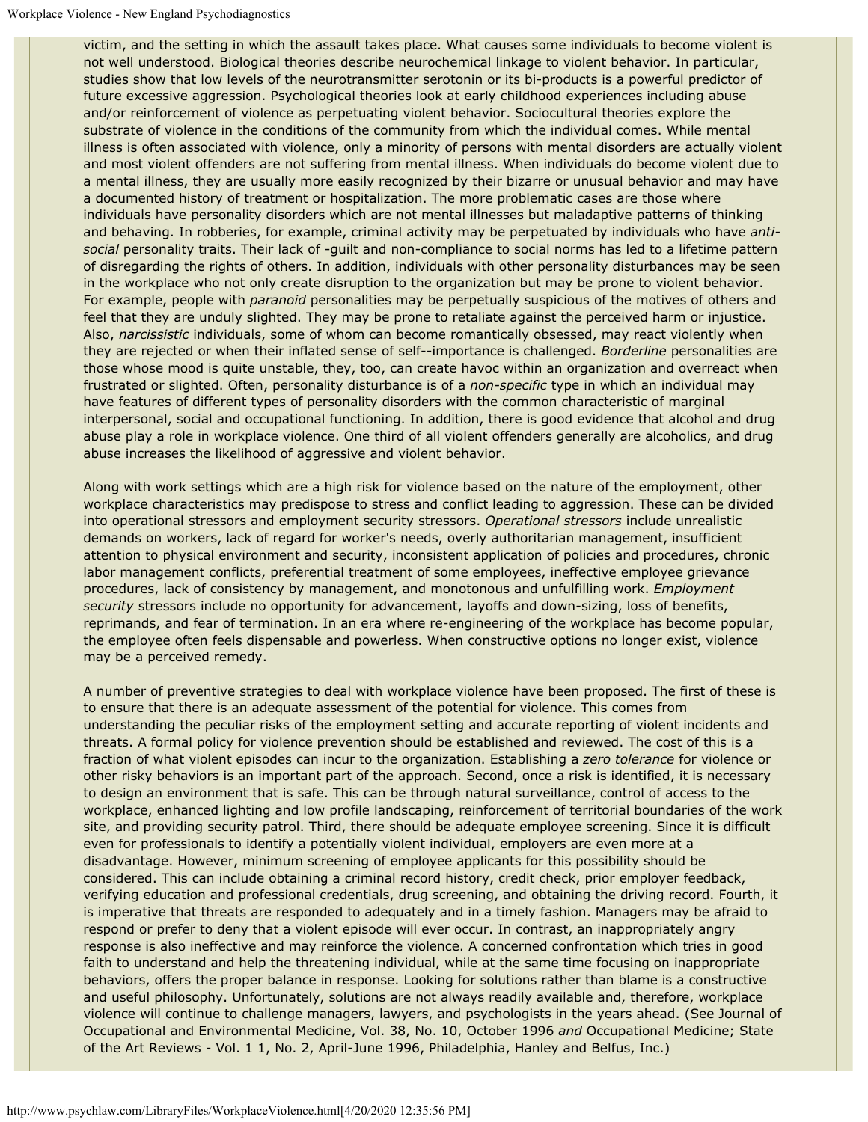victim, and the setting in which the assault takes place. What causes some individuals to become violent is not well understood. Biological theories describe neurochemical linkage to violent behavior. In particular, studies show that low levels of the neurotransmitter serotonin or its bi-products is a powerful predictor of future excessive aggression. Psychological theories look at early childhood experiences including abuse and/or reinforcement of violence as perpetuating violent behavior. Sociocultural theories explore the substrate of violence in the conditions of the community from which the individual comes. While mental illness is often associated with violence, only a minority of persons with mental disorders are actually violent and most violent offenders are not suffering from mental illness. When individuals do become violent due to a mental illness, they are usually more easily recognized by their bizarre or unusual behavior and may have a documented history of treatment or hospitalization. The more problematic cases are those where individuals have personality disorders which are not mental illnesses but maladaptive patterns of thinking and behaving. In robberies, for example, criminal activity may be perpetuated by individuals who have *antisocial* personality traits. Their lack of -guilt and non-compliance to social norms has led to a lifetime pattern of disregarding the rights of others. In addition, individuals with other personality disturbances may be seen in the workplace who not only create disruption to the organization but may be prone to violent behavior. For example, people with *paranoid* personalities may be perpetually suspicious of the motives of others and feel that they are unduly slighted. They may be prone to retaliate against the perceived harm or injustice. Also, *narcissistic* individuals, some of whom can become romantically obsessed, may react violently when they are rejected or when their inflated sense of self--importance is challenged. *Borderline* personalities are those whose mood is quite unstable, they, too, can create havoc within an organization and overreact when frustrated or slighted. Often, personality disturbance is of a *non-specific* type in which an individual may have features of different types of personality disorders with the common characteristic of marginal interpersonal, social and occupational functioning. In addition, there is good evidence that alcohol and drug abuse play a role in workplace violence. One third of all violent offenders generally are alcoholics, and drug abuse increases the likelihood of aggressive and violent behavior.

Along with work settings which are a high risk for violence based on the nature of the employment, other workplace characteristics may predispose to stress and conflict leading to aggression. These can be divided into operational stressors and employment security stressors. *Operational stressors* include unrealistic demands on workers, lack of regard for worker's needs, overly authoritarian management, insufficient attention to physical environment and security, inconsistent application of policies and procedures, chronic labor management conflicts, preferential treatment of some employees, ineffective employee grievance procedures, lack of consistency by management, and monotonous and unfulfilling work. *Employment security* stressors include no opportunity for advancement, layoffs and down-sizing, loss of benefits, reprimands, and fear of termination. In an era where re-engineering of the workplace has become popular, the employee often feels dispensable and powerless. When constructive options no longer exist, violence may be a perceived remedy.

A number of preventive strategies to deal with workplace violence have been proposed. The first of these is to ensure that there is an adequate assessment of the potential for violence. This comes from understanding the peculiar risks of the employment setting and accurate reporting of violent incidents and threats. A formal policy for violence prevention should be established and reviewed. The cost of this is a fraction of what violent episodes can incur to the organization. Establishing a *zero tolerance* for violence or other risky behaviors is an important part of the approach. Second, once a risk is identified, it is necessary to design an environment that is safe. This can be through natural surveillance, control of access to the workplace, enhanced lighting and low profile landscaping, reinforcement of territorial boundaries of the work site, and providing security patrol. Third, there should be adequate employee screening. Since it is difficult even for professionals to identify a potentially violent individual, employers are even more at a disadvantage. However, minimum screening of employee applicants for this possibility should be considered. This can include obtaining a criminal record history, credit check, prior employer feedback, verifying education and professional credentials, drug screening, and obtaining the driving record. Fourth, it is imperative that threats are responded to adequately and in a timely fashion. Managers may be afraid to respond or prefer to deny that a violent episode will ever occur. In contrast, an inappropriately angry response is also ineffective and may reinforce the violence. A concerned confrontation which tries in good faith to understand and help the threatening individual, while at the same time focusing on inappropriate behaviors, offers the proper balance in response. Looking for solutions rather than blame is a constructive and useful philosophy. Unfortunately, solutions are not always readily available and, therefore, workplace violence will continue to challenge managers, lawyers, and psychologists in the years ahead. (See Journal of Occupational and Environmental Medicine, Vol. 38, No. 10, October 1996 *and* Occupational Medicine; State of the Art Reviews - Vol. 1 1, No. 2, April-June 1996, Philadelphia, Hanley and Belfus, Inc.)